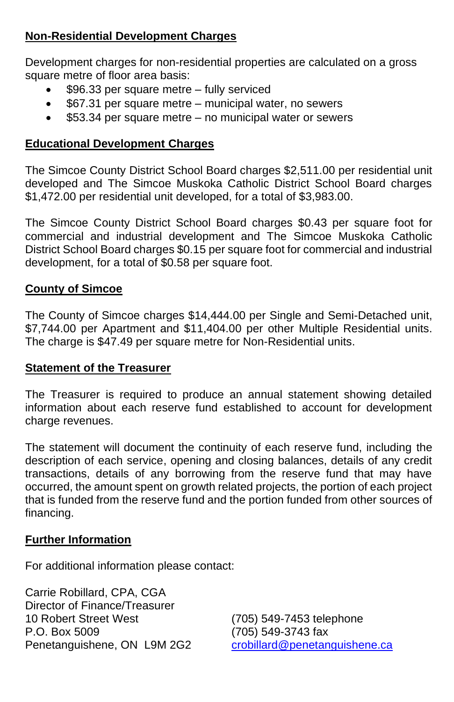## **Non-Residential Development Charges**

Development charges for non-residential properties are calculated on a gross square metre of floor area basis:

- \$96.33 per square metre fully serviced
- \$67.31 per square metre municipal water, no sewers
- \$53.34 per square metre no municipal water or sewers

## **Educational Development Charges**

The Simcoe County District School Board charges \$2,511.00 per residential unit developed and The Simcoe Muskoka Catholic District School Board charges \$1,472.00 per residential unit developed, for a total of \$3,983.00.

The Simcoe County District School Board charges \$0.43 per square foot for commercial and industrial development and The Simcoe Muskoka Catholic District School Board charges \$0.15 per square foot for commercial and industrial development, for a total of \$0.58 per square foot.

## **County of Simcoe**

The County of Simcoe charges \$14,444.00 per Single and Semi-Detached unit, \$7,744.00 per Apartment and \$11,404.00 per other Multiple Residential units. The charge is \$47.49 per square metre for Non-Residential units.

## **Statement of the Treasurer**

The Treasurer is required to produce an annual statement showing detailed information about each reserve fund established to account for development charge revenues.

The statement will document the continuity of each reserve fund, including the description of each service, opening and closing balances, details of any credit transactions, details of any borrowing from the reserve fund that may have occurred, the amount spent on growth related projects, the portion of each project that is funded from the reserve fund and the portion funded from other sources of financing.

## **Further Information**

For additional information please contact:

Carrie Robillard, CPA, CGA Director of Finance/Treasurer 10 Robert Street West (705) 549-7453 telephone P.O. Box 5009 (705) 549-3743 fax<br>
Penetanguishene, ON L9M 2G2 crobillard@penetanguishene.ca Penetanguishene, ON L9M 2G2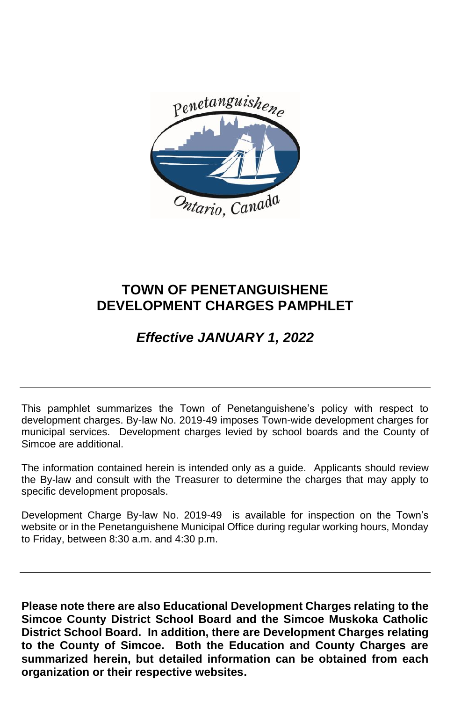

## **TOWN OF PENETANGUISHENE DEVELOPMENT CHARGES PAMPHLET**

# *Effective JANUARY 1, 2022*

This pamphlet summarizes the Town of Penetanguishene's policy with respect to development charges. By-law No. 2019-49 imposes Town-wide development charges for municipal services. Development charges levied by school boards and the County of Simcoe are additional.

The information contained herein is intended only as a guide. Applicants should review the By-law and consult with the Treasurer to determine the charges that may apply to specific development proposals.

Development Charge By-law No. 2019-49 is available for inspection on the Town's website or in the Penetanguishene Municipal Office during regular working hours, Monday to Friday, between 8:30 a.m. and 4:30 p.m.

**Please note there are also Educational Development Charges relating to the Simcoe County District School Board and the Simcoe Muskoka Catholic District School Board. In addition, there are Development Charges relating to the County of Simcoe. Both the Education and County Charges are summarized herein, but detailed information can be obtained from each organization or their respective websites.**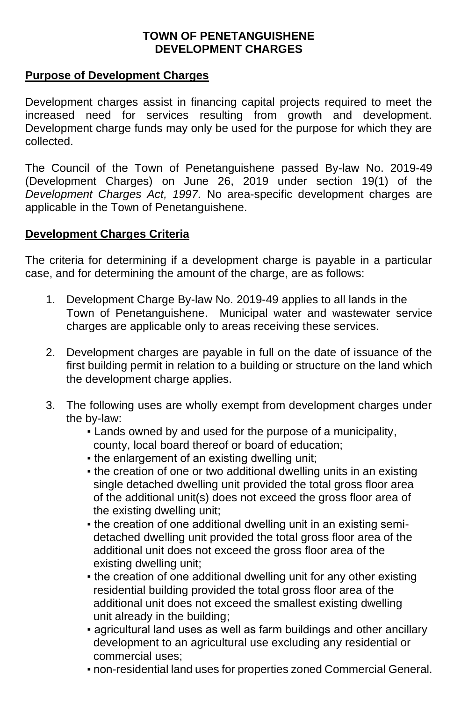### **TOWN OF PENETANGUISHENE DEVELOPMENT CHARGES**

### **Purpose of Development Charges**

Development charges assist in financing capital projects required to meet the increased need for services resulting from growth and development. Development charge funds may only be used for the purpose for which they are collected.

The Council of the Town of Penetanguishene passed By-law No. 2019-49 (Development Charges) on June 26, 2019 under section 19(1) of the *Development Charges Act, 1997.* No area-specific development charges are applicable in the Town of Penetanguishene.

#### **Development Charges Criteria**

The criteria for determining if a development charge is payable in a particular case, and for determining the amount of the charge, are as follows:

- 1. Development Charge By-law No. 2019-49 applies to all lands in the Town of Penetanguishene. Municipal water and wastewater service charges are applicable only to areas receiving these services.
- 2. Development charges are payable in full on the date of issuance of the first building permit in relation to a building or structure on the land which the development charge applies.
- 3. The following uses are wholly exempt from development charges under the by-law:
	- Lands owned by and used for the purpose of a municipality, county, local board thereof or board of education;
	- . the enlargement of an existing dwelling unit;
	- the creation of one or two additional dwelling units in an existing single detached dwelling unit provided the total gross floor area of the additional unit(s) does not exceed the gross floor area of the existing dwelling unit;
	- . the creation of one additional dwelling unit in an existing semi detached dwelling unit provided the total gross floor area of the additional unit does not exceed the gross floor area of the existing dwelling unit;
	- . the creation of one additional dwelling unit for any other existing residential building provided the total gross floor area of the additional unit does not exceed the smallest existing dwelling unit already in the building;
	- agricultural land uses as well as farm buildings and other ancillary development to an agricultural use excluding any residential or commercial uses;
	- non-residential land uses for properties zoned Commercial General.